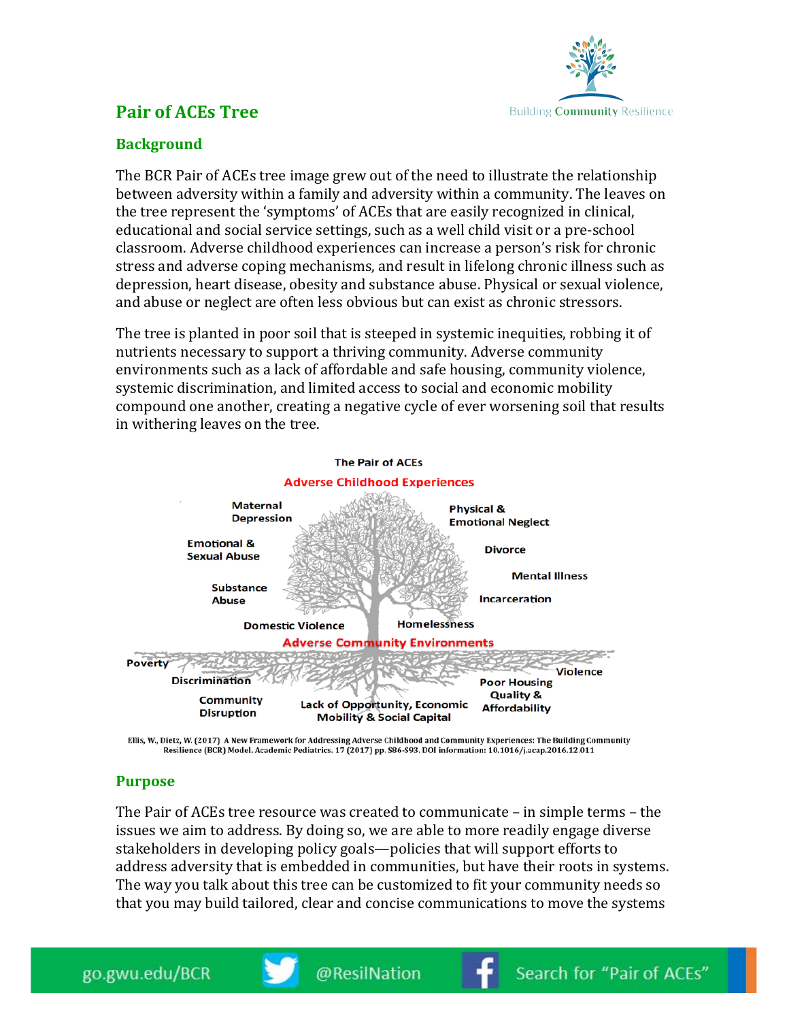

## **Pair of ACEs Tree**

## **Background**

The BCR Pair of ACEs tree image grew out of the need to illustrate the relationship between adversity within a family and adversity within a community. The leaves on the tree represent the 'symptoms' of ACEs that are easily recognized in clinical, educational and social service settings, such as a well child visit or a pre-school classroom. Adverse childhood experiences can increase a person's risk for chronic stress and adverse coping mechanisms, and result in lifelong chronic illness such as depression, heart disease, obesity and substance abuse. Physical or sexual violence, and abuse or neglect are often less obvious but can exist as chronic stressors.

The tree is planted in poor soil that is steeped in systemic inequities, robbing it of nutrients necessary to support a thriving community. Adverse community environments such as a lack of affordable and safe housing, community violence, systemic discrimination, and limited access to social and economic mobility compound one another, creating a negative cycle of ever worsening soil that results in withering leaves on the tree.



Ellis, W., Dietz, W. (2017) A New Framework for Addressing Adverse Childhood and Community Experiences: The Building Community Resilience (BCR) Model. Academic Pediatrics. 17 (2017) pp. S86-S93. DOI information: 10.1016/j.acap.2016.12.011

## **Purpose**

The Pair of ACEs tree resource was created to communicate – in simple terms – the issues we aim to address. By doing so, we are able to more readily engage diverse stakeholders in developing policy goals—policies that will support efforts to address adversity that is embedded in communities, but have their roots in systems. The way you talk about this tree can be customized to fit your community needs so that you may build tailored, clear and concise communications to move the systems